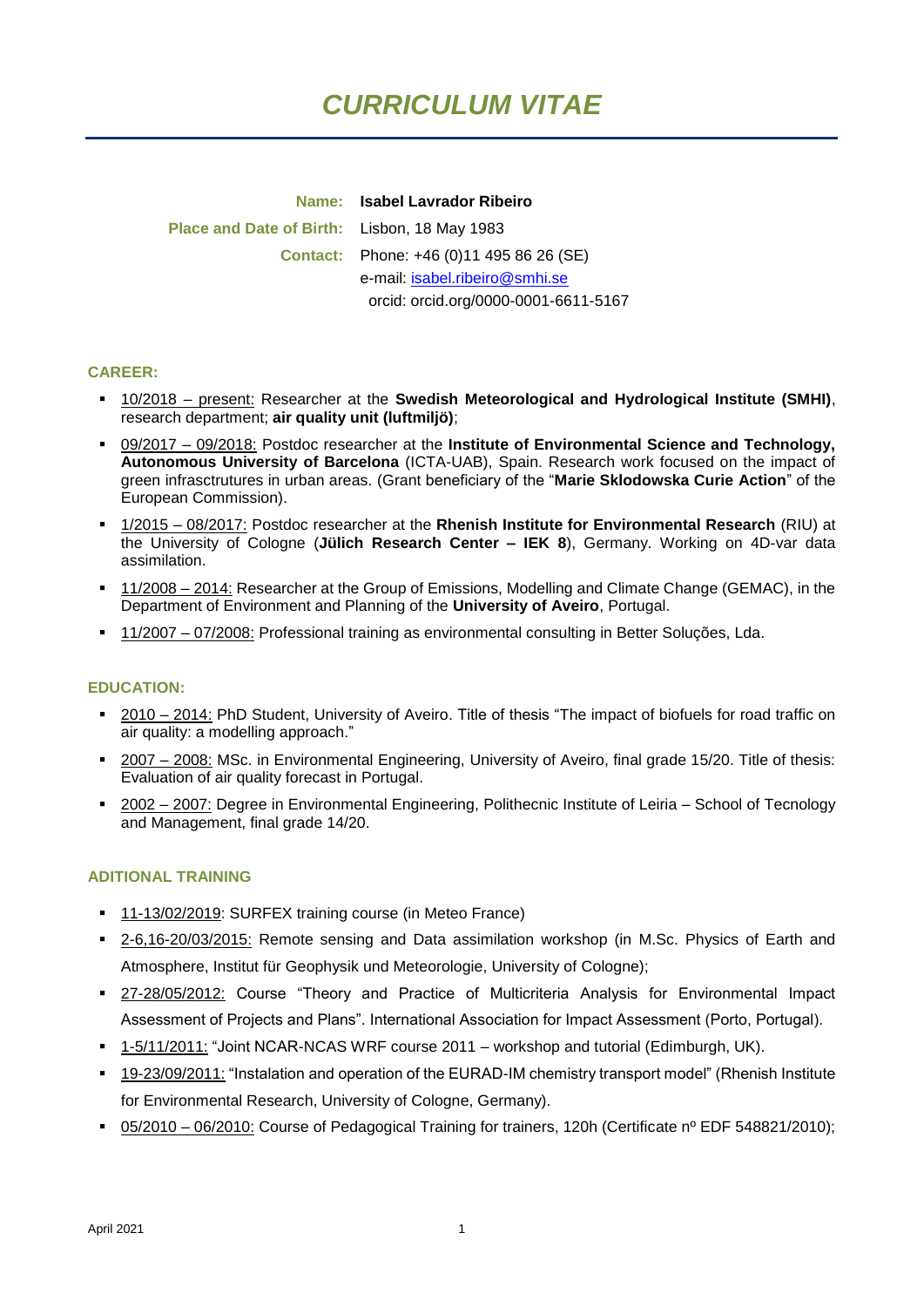# *CURRICULUM VITAE*

**Name: Isabel Lavrador Ribeiro Place and Date of Birth:** Lisbon, 18 May 1983 **Contact:** Phone: +46 (0)11 495 86 26 (SE) e-mail: [isabel.ribeiro@smhi.se](mailto:isabel.ribeiro@smhi.se) orcid: orcid.org/0000-0001-6611-5167

#### **CAREER:**

- 10/2018 present: Researcher at the **Swedish Meteorological and Hydrological Institute (SMHI)**, research department; **air quality unit (luftmiljö)**;
- 09/2017 09/2018: Postdoc researcher at the Institute of Environmental Science and Technology, **Autonomous University of Barcelona** (ICTA-UAB), Spain. Research work focused on the impact of green infrasctrutures in urban areas. (Grant beneficiary of the "**Marie Sklodowska Curie Action**" of the European Commission).
- 1/2015 08/2017: Postdoc researcher at the **Rhenish Institute for Environmental Research** (RIU) at the University of Cologne (**Jülich Research Center – IEK 8**), Germany. Working on 4D-var data assimilation.
- 11/2008 2014: Researcher at the Group of Emissions, Modelling and Climate Change (GEMAC), in the Department of Environment and Planning of the **University of Aveiro**, Portugal.
- **11/2007 07/2008:** Professional training as environmental consulting in Better Soluções, Lda.

#### **EDUCATION:**

- 2010 2014: PhD Student, University of Aveiro. Title of thesis "The impact of biofuels for road traffic on air quality: a modelling approach."
- 2007 2008: MSc. in Environmental Engineering, University of Aveiro, final grade 15/20. Title of thesis: Evaluation of air quality forecast in Portugal.
- 2002 2007: Degree in Environmental Engineering, Polithecnic Institute of Leiria School of Tecnology and Management, final grade 14/20.

#### **ADITIONAL TRAINING**

- 11-13/02/2019: SURFEX training course (in Meteo France)
- 2-6,16-20/03/2015: Remote sensing and Data assimilation workshop (in M.Sc. Physics of Earth and Atmosphere, Institut für Geophysik und Meteorologie, University of Cologne);
- **27-28/05/2012: Course "Theory and Practice of Multicriteria Analysis for Environmental Impact** Assessment of Projects and Plans". International Association for Impact Assessment (Porto, Portugal).
- 1-5/11/2011: "Joint NCAR-NCAS WRF course 2011 workshop and tutorial (Edimburgh, UK).
- <sup>1</sup> 19-23/09/2011: "Instalation and operation of the EURAD-IM chemistry transport model" (Rhenish Institute for Environmental Research, University of Cologne, Germany).
- 05/2010 06/2010: Course of Pedagogical Training for trainers, 120h (Certificate n<sup>o</sup> EDF 548821/2010);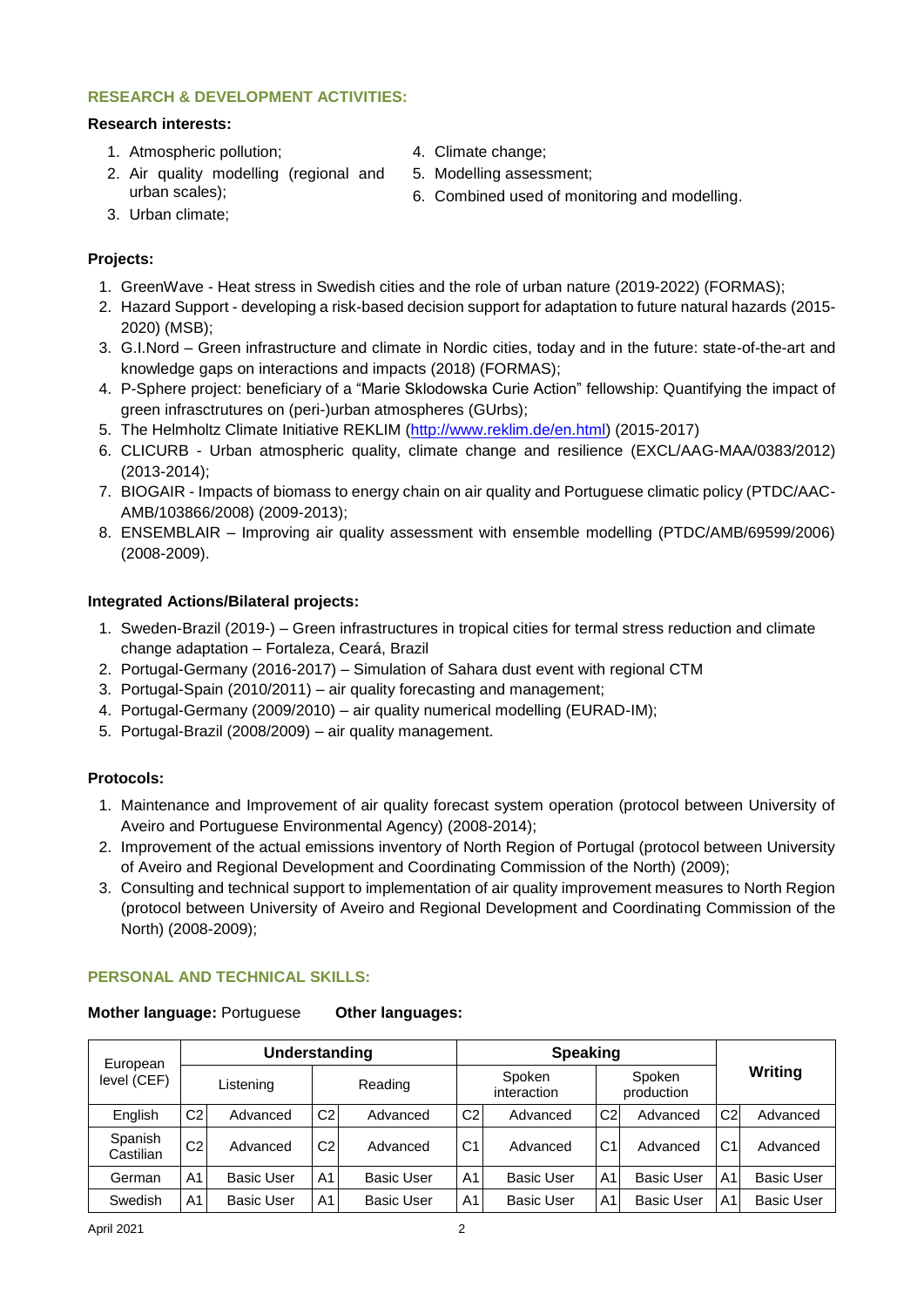# **RESEARCH & DEVELOPMENT ACTIVITIES:**

## **Research interests:**

- 1. Atmospheric pollution;
- 4. Climate change;
- 2. Air quality modelling (regional and urban scales);
- 5. Modelling assessment;
- 6. Combined used of monitoring and modelling.

3. Urban climate;

# **Projects:**

- 1. GreenWave Heat stress in Swedish cities and the role of urban nature (2019-2022) (FORMAS);
- 2. Hazard Support developing a risk-based decision support for adaptation to future natural hazards (2015- 2020) (MSB);
- 3. G.I.Nord Green infrastructure and climate in Nordic cities, today and in the future: state-of-the-art and knowledge gaps on interactions and impacts (2018) (FORMAS);
- 4. P-Sphere project: beneficiary of a "Marie Sklodowska Curie Action" fellowship: Quantifying the impact of green infrasctrutures on (peri-)urban atmospheres (GUrbs);
- 5. The Helmholtz Climate Initiative REKLIM [\(http://www.reklim.de/en.html\)](http://www.reklim.de/en.html) (2015-2017)
- 6. CLICURB Urban atmospheric quality, climate change and resilience (EXCL/AAG-MAA/0383/2012) (2013-2014);
- 7. BIOGAIR Impacts of biomass to energy chain on air quality and Portuguese climatic policy (PTDC/AAC-AMB/103866/2008) (2009-2013);
- 8. ENSEMBLAIR Improving air quality assessment with ensemble modelling (PTDC/AMB/69599/2006) (2008-2009).

## **Integrated Actions/Bilateral projects:**

- 1. Sweden-Brazil (2019-) Green infrastructures in tropical cities for termal stress reduction and climate change adaptation – Fortaleza, Ceará, Brazil
- 2. Portugal-Germany (2016-2017) Simulation of Sahara dust event with regional CTM
- 3. Portugal-Spain (2010/2011) air quality forecasting and management;
- 4. Portugal-Germany (2009/2010) air quality numerical modelling (EURAD-IM);
- 5. Portugal-Brazil (2008/2009) air quality management.

## **Protocols:**

- 1. Maintenance and Improvement of air quality forecast system operation (protocol between University of Aveiro and Portuguese Environmental Agency) (2008-2014);
- 2. Improvement of the actual emissions inventory of North Region of Portugal (protocol between University of Aveiro and Regional Development and Coordinating Commission of the North) (2009);
- 3. Consulting and technical support to implementation of air quality improvement measures to North Region (protocol between University of Aveiro and Regional Development and Coordinating Commission of the North) (2008-2009);

## **PERSONAL AND TECHNICAL SKILLS:**

| Mother language: Portuguese | <b>Other languages:</b> |
|-----------------------------|-------------------------|
|-----------------------------|-------------------------|

| European<br>level (CEF) | Understanding  |                   |                | <b>Speaking</b>   |                |                       |                |                      |                   |                   |
|-------------------------|----------------|-------------------|----------------|-------------------|----------------|-----------------------|----------------|----------------------|-------------------|-------------------|
|                         |                | Listening         |                | Reading           |                | Spoken<br>interaction |                | Spoken<br>production | Writing           |                   |
| English                 | C <sub>2</sub> | Advanced          | C <sub>2</sub> | Advanced          | C <sub>2</sub> | Advanced              | C2I            | Advanced             | C <sub>2</sub>    | Advanced          |
| Spanish<br>Castilian    | C <sub>2</sub> | Advanced          | C <sub>2</sub> | Advanced          | C <sub>1</sub> | Advanced              | C <sub>1</sub> | Advanced             | C <sub>1</sub>    | Advanced          |
| German                  | A <sub>1</sub> | <b>Basic User</b> | A1             | <b>Basic User</b> | A <sub>1</sub> | <b>Basic User</b>     | A1             | <b>Basic User</b>    | A1                | <b>Basic User</b> |
| Swedish                 | A <sub>1</sub> | <b>Basic User</b> | A1             | <b>Basic User</b> | A <sub>1</sub> | <b>Basic User</b>     | A1             | <b>Basic User</b>    | A1 $\overline{ }$ | <b>Basic User</b> |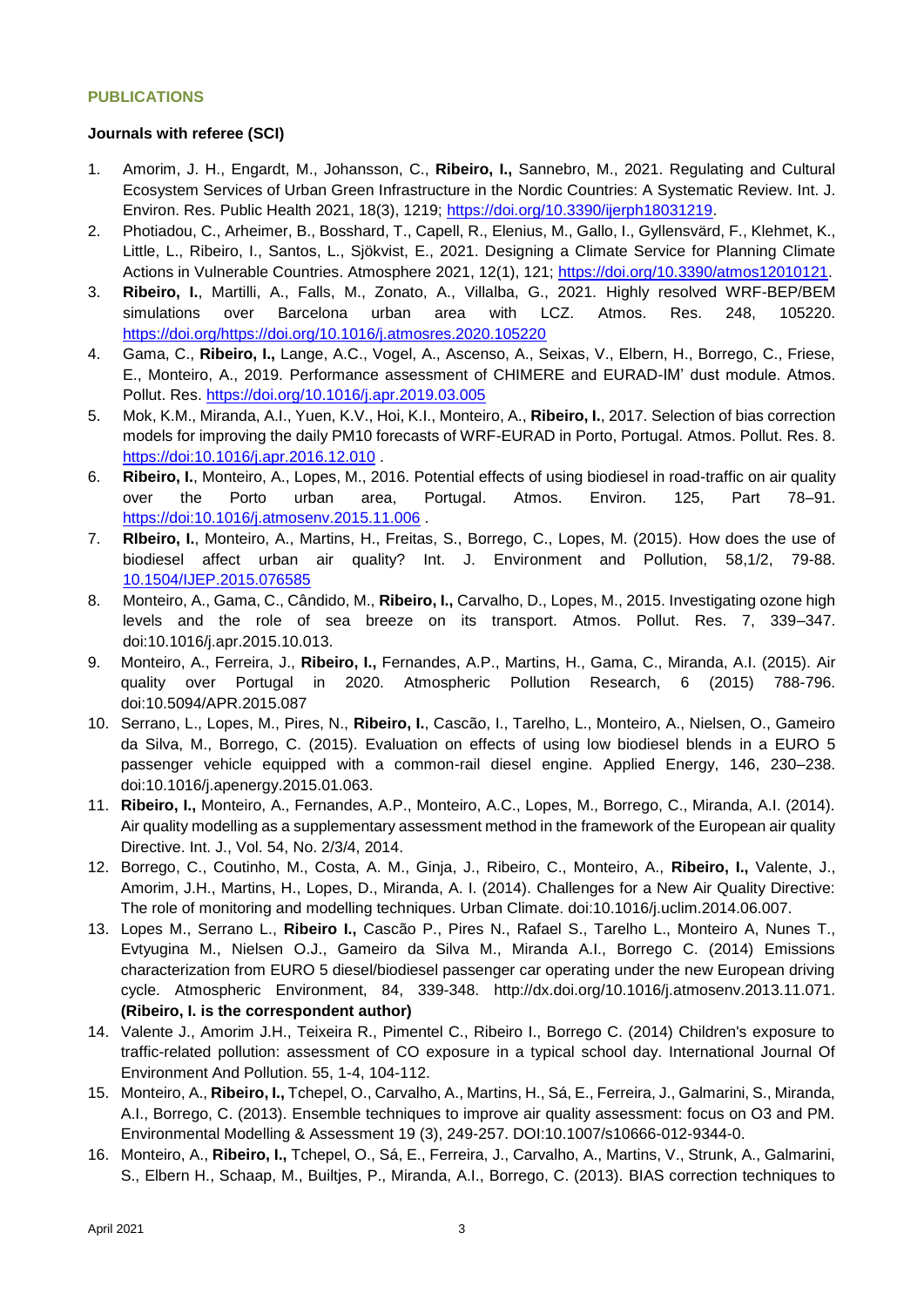## **PUBLICATIONS**

#### **Journals with referee (SCI)**

- 1. Amorim, J. H., Engardt, M., Johansson, C., **Ribeiro, I.,** Sannebro, M., 2021. Regulating and Cultural Ecosystem Services of Urban Green Infrastructure in the Nordic Countries: A Systematic Review. Int. J. Environ. Res. Public Health 2021, 18(3), 1219; [https://doi.org/10.3390/ijerph18031219.](https://doi.org/10.3390/ijerph18031219)
- 2. Photiadou, C., Arheimer, B., Bosshard, T., Capell, R., Elenius, M., Gallo, I., Gyllensvärd, F., Klehmet, K., Little, L., Ribeiro, I., Santos, L., Sjökvist, E., 2021. Designing a Climate Service for Planning Climate Actions in Vulnerable Countries. Atmosphere 2021, 12(1), 121; [https://doi.org/10.3390/atmos12010121.](https://doi.org/10.3390/atmos12010121)
- 3. **Ribeiro, I.**, Martilli, A., Falls, M., Zonato, A., Villalba, G., 2021. Highly resolved WRF-BEP/BEM simulations over Barcelona urban area with LCZ. Atmos. Res. 248, 105220. [https://doi.org/https://doi.org/10.1016/j.atmosres.2020.105220](https://doi.org/https:/doi.org/10.1016/j.atmosres.2020.105220)
- 4. Gama, C., **Ribeiro, I.,** Lange, A.C., Vogel, A., Ascenso, A., Seixas, V., Elbern, H., Borrego, C., Friese, E., Monteiro, A., 2019. Performance assessment of CHIMERE and EURAD-IM' dust module. Atmos. Pollut. Res.<https://doi.org/10.1016/j.apr.2019.03.005>
- 5. Mok, K.M., Miranda, A.I., Yuen, K.V., Hoi, K.I., Monteiro, A., **Ribeiro, I.**, 2017. Selection of bias correction models for improving the daily PM10 forecasts of WRF-EURAD in Porto, Portugal. Atmos. Pollut. Res. 8. <https://doi:10.1016/j.apr.2016.12.010> .
- 6. **Ribeiro, I.**, Monteiro, A., Lopes, M., 2016. Potential effects of using biodiesel in road-traffic on air quality over the Porto urban area, Portugal. Atmos. Environ. 125, Part 78–91. <https://doi:10.1016/j.atmosenv.2015.11.006> .
- 7. **RIbeiro, I.**, Monteiro, A., Martins, H., Freitas, S., Borrego, C., Lopes, M. (2015). How does the use of biodiesel affect urban air quality? Int. J. Environment and Pollution, 58,1/2, 79-88. [10.1504/IJEP.2015.076585](file:///C:/Users/a002269/CV/10.1504/IJEP.2015.076585)
- 8. Monteiro, A., Gama, C., Cândido, M., **Ribeiro, I.,** Carvalho, D., Lopes, M., 2015. Investigating ozone high levels and the role of sea breeze on its transport. Atmos. Pollut. Res. 7, 339–347. doi:10.1016/j.apr.2015.10.013.
- 9. Monteiro, A., Ferreira, J., **Ribeiro, I.,** Fernandes, A.P., Martins, H., Gama, C., Miranda, A.I. (2015). Air quality over Portugal in 2020. Atmospheric Pollution Research, 6 (2015) 788-796. doi:10.5094/APR.2015.087
- 10. Serrano, L., Lopes, M., Pires, N., **Ribeiro, I.**, Cascão, I., Tarelho, L., Monteiro, A., Nielsen, O., Gameiro da Silva, M., Borrego, C. (2015). Evaluation on effects of using low biodiesel blends in a EURO 5 passenger vehicle equipped with a common-rail diesel engine. Applied Energy, 146, 230–238. doi:10.1016/j.apenergy.2015.01.063.
- 11. **Ribeiro, I.,** Monteiro, A., Fernandes, A.P., Monteiro, A.C., Lopes, M., Borrego, C., Miranda, A.I. (2014). Air quality modelling as a supplementary assessment method in the framework of the European air quality Directive. Int. J., Vol. 54, No. 2/3/4, 2014.
- 12. Borrego, C., Coutinho, M., Costa, A. M., Ginja, J., Ribeiro, C., Monteiro, A., **Ribeiro, I.,** Valente, J., Amorim, J.H., Martins, H., Lopes, D., Miranda, A. I. (2014). Challenges for a New Air Quality Directive: The role of monitoring and modelling techniques. Urban Climate. doi:10.1016/j.uclim.2014.06.007.
- 13. Lopes M., Serrano L., **Ribeiro I.,** Cascão P., Pires N., Rafael S., Tarelho L., Monteiro A, Nunes T., Evtyugina M., Nielsen O.J., Gameiro da Silva M., Miranda A.I., Borrego C. (2014) Emissions characterization from EURO 5 diesel/biodiesel passenger car operating under the new European driving cycle. Atmospheric Environment, 84, 339-348. http://dx.doi.org/10.1016/j.atmosenv.2013.11.071. **(Ribeiro, I. is the correspondent author)**
- 14. Valente J., Amorim J.H., Teixeira R., Pimentel C., Ribeiro I., Borrego C. (2014) Children's exposure to traffic-related pollution: assessment of CO exposure in a typical school day. International Journal Of Environment And Pollution. 55, 1-4, 104-112.
- 15. Monteiro, A., **Ribeiro, I.,** Tchepel, O., Carvalho, A., Martins, H., Sá, E., Ferreira, J., Galmarini, S., Miranda, A.I., Borrego, C. (2013). Ensemble techniques to improve air quality assessment: focus on O3 and PM. Environmental Modelling & Assessment 19 (3), 249-257. DOI:10.1007/s10666-012-9344-0.
- 16. Monteiro, A., **Ribeiro, I.,** Tchepel, O., Sá, E., Ferreira, J., Carvalho, A., Martins, V., Strunk, A., Galmarini, S., Elbern H., Schaap, M., Builtjes, P., Miranda, A.I., Borrego, C. (2013). BIAS correction techniques to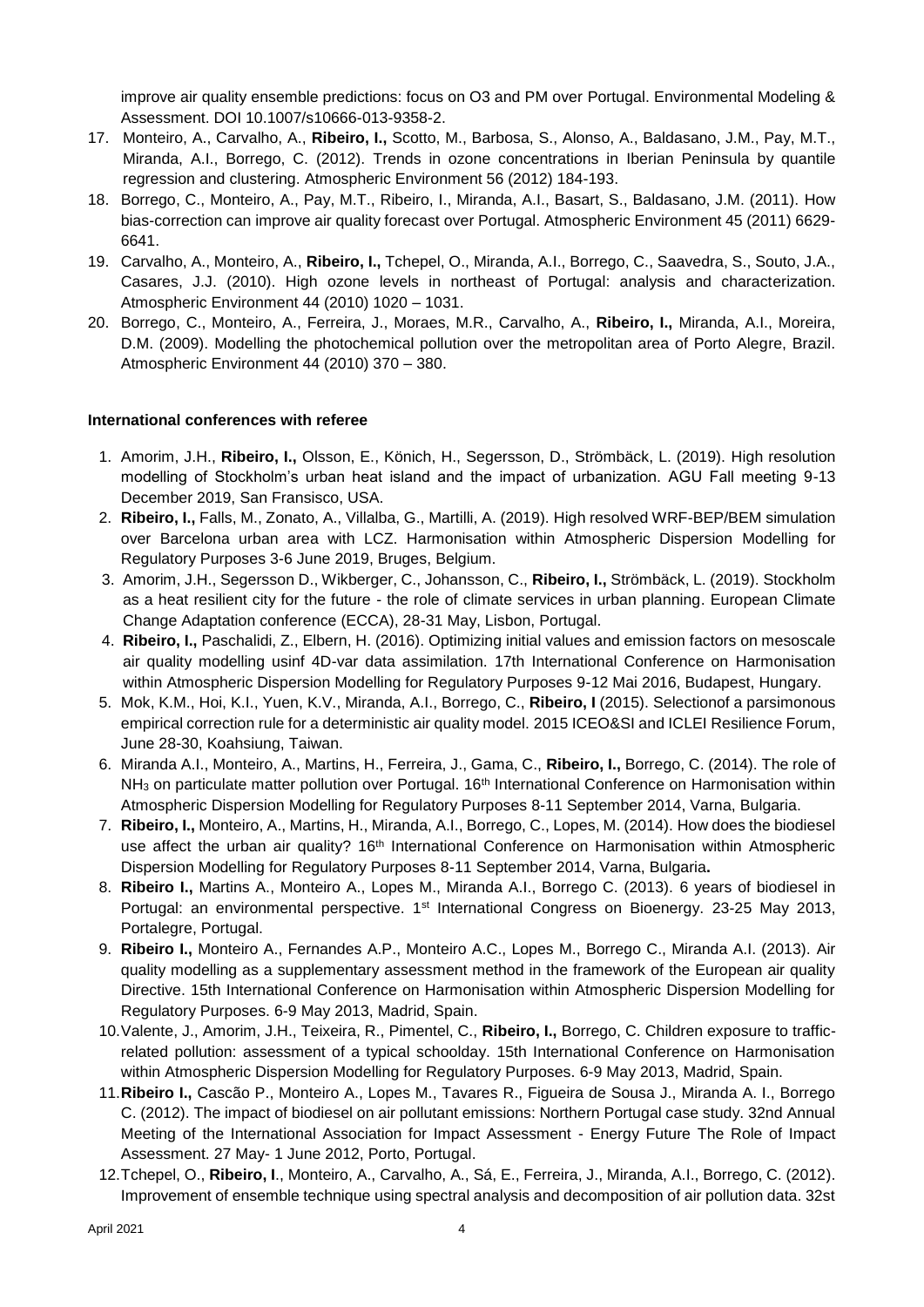improve air quality ensemble predictions: focus on O3 and PM over Portugal. Environmental Modeling & Assessment. DOI 10.1007/s10666-013-9358-2.

- 17. Monteiro, A., Carvalho, A., **Ribeiro, I.,** Scotto, M., Barbosa, S., Alonso, A., Baldasano, J.M., Pay, M.T., Miranda, A.I., Borrego, C. (2012). Trends in ozone concentrations in Iberian Peninsula by quantile regression and clustering. Atmospheric Environment 56 (2012) 184-193.
- 18. Borrego, C., Monteiro, A., Pay, M.T., Ribeiro, I., Miranda, A.I., Basart, S., Baldasano, J.M. (2011). How bias-correction can improve air quality forecast over Portugal. Atmospheric Environment 45 (2011) 6629- 6641.
- 19. Carvalho, A., Monteiro, A., **Ribeiro, I.,** Tchepel, O., Miranda, A.I., Borrego, C., Saavedra, S., Souto, J.A., Casares, J.J. (2010). High ozone levels in northeast of Portugal: analysis and characterization. Atmospheric Environment 44 (2010) 1020 – 1031.
- 20. Borrego, C., Monteiro, A., Ferreira, J., Moraes, M.R., Carvalho, A., **Ribeiro, I.,** Miranda, A.I., Moreira, D.M. (2009). Modelling the photochemical pollution over the metropolitan area of Porto Alegre, Brazil. Atmospheric Environment 44 (2010) 370 – 380.

## **International conferences with referee**

- 1. Amorim, J.H., **Ribeiro, I.,** Olsson, E., Könich, H., Segersson, D., Strömbäck, L. (2019). High resolution modelling of Stockholm's urban heat island and the impact of urbanization. AGU Fall meeting 9-13 December 2019, San Fransisco, USA.
- 2. **Ribeiro, I.,** Falls, M., Zonato, A., Villalba, G., Martilli, A. (2019). High resolved WRF-BEP/BEM simulation over Barcelona urban area with LCZ. Harmonisation within Atmospheric Dispersion Modelling for Regulatory Purposes 3-6 June 2019, Bruges, Belgium.
- 3. Amorim, J.H., Segersson D., Wikberger, C., Johansson, C., **Ribeiro, I.,** Strömbäck, L. (2019). Stockholm as a heat resilient city for the future - the role of climate services in urban planning. European Climate Change Adaptation conference (ECCA), 28-31 May, Lisbon, Portugal.
- 4. **Ribeiro, I.,** Paschalidi, Z., Elbern, H. (2016). Optimizing initial values and emission factors on mesoscale air quality modelling usinf 4D-var data assimilation. 17th International Conference on Harmonisation within Atmospheric Dispersion Modelling for Regulatory Purposes 9-12 Mai 2016, Budapest, Hungary.
- 5. Mok, K.M., Hoi, K.I., Yuen, K.V., Miranda, A.I., Borrego, C., **Ribeiro, I** (2015). Selectionof a parsimonous empirical correction rule for a deterministic air quality model. 2015 ICEO&SI and ICLEI Resilience Forum, June 28-30, Koahsiung, Taiwan.
- 6. Miranda A.I., Monteiro, A., Martins, H., Ferreira, J., Gama, C., **Ribeiro, I.,** Borrego, C. (2014). The role of NH<sub>3</sub> on particulate matter pollution over Portugal. 16<sup>th</sup> International Conference on Harmonisation within Atmospheric Dispersion Modelling for Regulatory Purposes 8-11 September 2014, Varna, Bulgaria.
- 7. **Ribeiro, I.,** Monteiro, A., Martins, H., Miranda, A.I., Borrego, C., Lopes, M. (2014). How does the biodiesel use affect the urban air quality? 16<sup>th</sup> International Conference on Harmonisation within Atmospheric Dispersion Modelling for Regulatory Purposes 8-11 September 2014, Varna, Bulgaria**.**
- 8. **Ribeiro I.,** Martins A., Monteiro A., Lopes M., Miranda A.I., Borrego C. (2013). 6 years of biodiesel in Portugal: an environmental perspective. 1<sup>st</sup> International Congress on Bioenergy. 23-25 May 2013, Portalegre, Portugal.
- 9. **Ribeiro I.,** Monteiro A., Fernandes A.P., Monteiro A.C., Lopes M., Borrego C., Miranda A.I. (2013). Air quality modelling as a supplementary assessment method in the framework of the European air quality Directive. 15th International Conference on Harmonisation within Atmospheric Dispersion Modelling for Regulatory Purposes. 6-9 May 2013, Madrid, Spain.
- 10.Valente, J., Amorim, J.H., Teixeira, R., Pimentel, C., **Ribeiro, I.,** Borrego, C. Children exposure to trafficrelated pollution: assessment of a typical schoolday. 15th International Conference on Harmonisation within Atmospheric Dispersion Modelling for Regulatory Purposes. 6-9 May 2013, Madrid, Spain.
- 11.**Ribeiro I.,** Cascão P., Monteiro A., Lopes M., Tavares R., Figueira de Sousa J., Miranda A. I., Borrego C. (2012). The impact of biodiesel on air pollutant emissions: Northern Portugal case study. 32nd Annual Meeting of the International Association for Impact Assessment - Energy Future The Role of Impact Assessment. 27 May- 1 June 2012, Porto, Portugal.
- 12.Tchepel, O., **Ribeiro, I**., Monteiro, A., Carvalho, A., Sá, E., Ferreira, J., Miranda, A.I., Borrego, C. (2012). Improvement of ensemble technique using spectral analysis and decomposition of air pollution data. 32st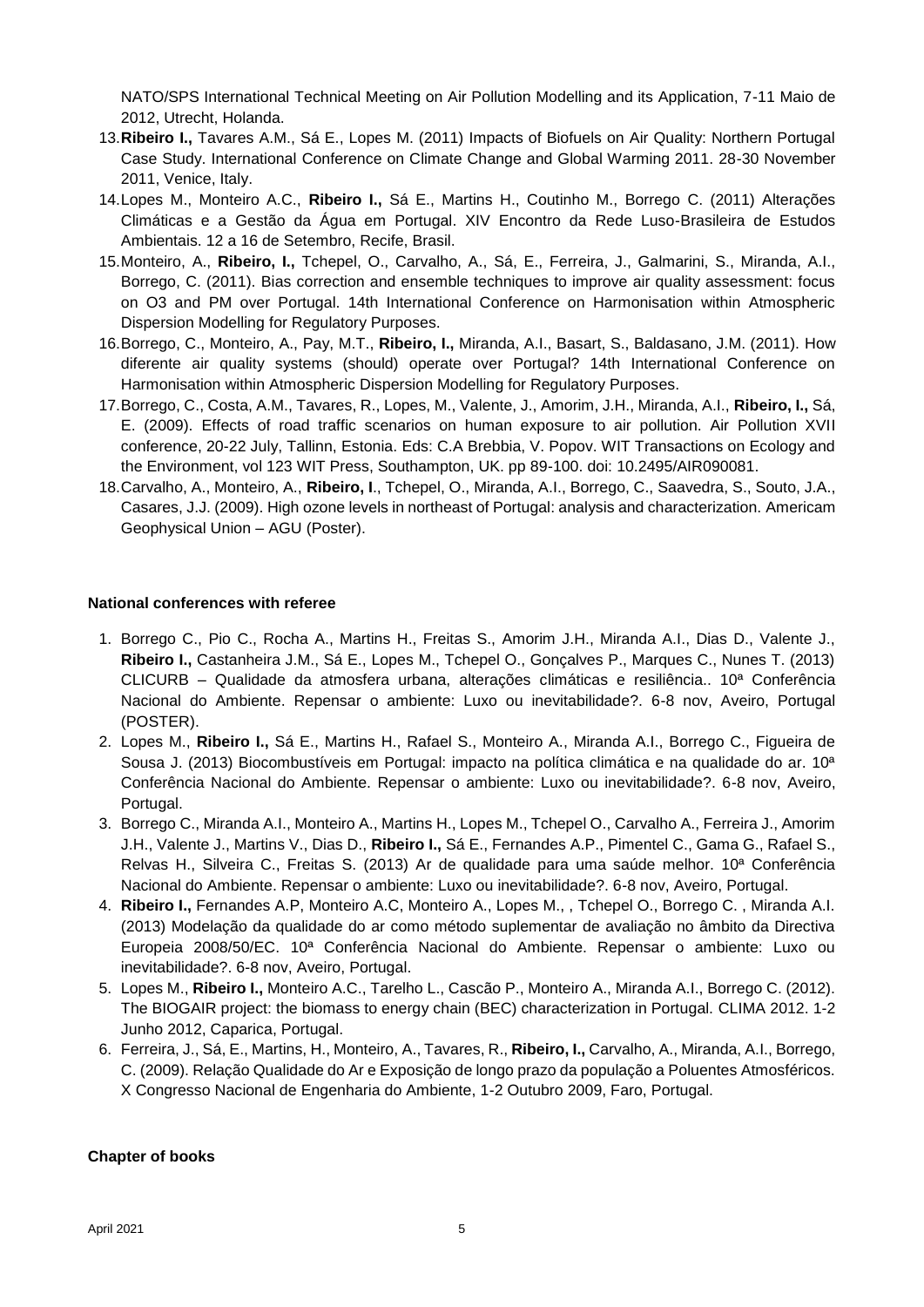NATO/SPS International Technical Meeting on Air Pollution Modelling and its Application, 7-11 Maio de 2012, Utrecht, Holanda.

- 13.**Ribeiro I.,** Tavares A.M., Sá E., Lopes M. (2011) Impacts of Biofuels on Air Quality: Northern Portugal Case Study. International Conference on Climate Change and Global Warming 2011. 28-30 November 2011, Venice, Italy.
- 14.Lopes M., Monteiro A.C., **Ribeiro I.,** Sá E., Martins H., Coutinho M., Borrego C. (2011) Alterações Climáticas e a Gestão da Água em Portugal. XIV Encontro da Rede Luso-Brasileira de Estudos Ambientais. 12 a 16 de Setembro, Recife, Brasil.
- 15.Monteiro, A., **Ribeiro, I.,** Tchepel, O., Carvalho, A., Sá, E., Ferreira, J., Galmarini, S., Miranda, A.I., Borrego, C. (2011). Bias correction and ensemble techniques to improve air quality assessment: focus on O3 and PM over Portugal. 14th International Conference on Harmonisation within Atmospheric Dispersion Modelling for Regulatory Purposes.
- 16.Borrego, C., Monteiro, A., Pay, M.T., **Ribeiro, I.,** Miranda, A.I., Basart, S., Baldasano, J.M. (2011). How diferente air quality systems (should) operate over Portugal? 14th International Conference on Harmonisation within Atmospheric Dispersion Modelling for Regulatory Purposes.
- 17.Borrego, C., Costa, A.M., Tavares, R., Lopes, M., Valente, J., Amorim, J.H., Miranda, A.I., **Ribeiro, I.,** Sá, E. (2009). Effects of road traffic scenarios on human exposure to air pollution. Air Pollution XVII conference, 20-22 July, Tallinn, Estonia. Eds: C.A Brebbia, V. Popov. WIT Transactions on Ecology and the Environment, vol 123 WIT Press, Southampton, UK. pp 89-100. doi: 10.2495/AIR090081.
- 18.Carvalho, A., Monteiro, A., **Ribeiro, I**., Tchepel, O., Miranda, A.I., Borrego, C., Saavedra, S., Souto, J.A., Casares, J.J. (2009). High ozone levels in northeast of Portugal: analysis and characterization. Americam Geophysical Union – AGU (Poster).

## **National conferences with referee**

- 1. Borrego C., Pio C., Rocha A., Martins H., Freitas S., Amorim J.H., Miranda A.I., Dias D., Valente J., **Ribeiro I.,** Castanheira J.M., Sá E., Lopes M., Tchepel O., Gonçalves P., Marques C., Nunes T. (2013) CLICURB – Qualidade da atmosfera urbana, alterações climáticas e resiliência.. 10ª Conferência Nacional do Ambiente. Repensar o ambiente: Luxo ou inevitabilidade?. 6-8 nov, Aveiro, Portugal (POSTER).
- 2. Lopes M., **Ribeiro I.,** Sá E., Martins H., Rafael S., Monteiro A., Miranda A.I., Borrego C., Figueira de Sousa J. (2013) Biocombustíveis em Portugal: impacto na política climática e na qualidade do ar. 10ª Conferência Nacional do Ambiente. Repensar o ambiente: Luxo ou inevitabilidade?. 6-8 nov, Aveiro, Portugal.
- 3. Borrego C., Miranda A.I., Monteiro A., Martins H., Lopes M., Tchepel O., Carvalho A., Ferreira J., Amorim J.H., Valente J., Martins V., Dias D., **Ribeiro I.,** Sá E., Fernandes A.P., Pimentel C., Gama G., Rafael S., Relvas H., Silveira C., Freitas S. (2013) Ar de qualidade para uma saúde melhor. 10ª Conferência Nacional do Ambiente. Repensar o ambiente: Luxo ou inevitabilidade?. 6-8 nov, Aveiro, Portugal.
- 4. **Ribeiro I.,** Fernandes A.P, Monteiro A.C, Monteiro A., Lopes M., , Tchepel O., Borrego C. , Miranda A.I. (2013) Modelação da qualidade do ar como método suplementar de avaliação no âmbito da Directiva Europeia 2008/50/EC. 10ª Conferência Nacional do Ambiente. Repensar o ambiente: Luxo ou inevitabilidade?. 6-8 nov, Aveiro, Portugal.
- 5. Lopes M., **Ribeiro I.,** Monteiro A.C., Tarelho L., Cascão P., Monteiro A., Miranda A.I., Borrego C. (2012). The BIOGAIR project: the biomass to energy chain (BEC) characterization in Portugal. CLIMA 2012. 1-2 Junho 2012, Caparica, Portugal.
- 6. Ferreira, J., Sá, E., Martins, H., Monteiro, A., Tavares, R., **Ribeiro, I.,** Carvalho, A., Miranda, A.I., Borrego, C. (2009). Relação Qualidade do Ar e Exposição de longo prazo da população a Poluentes Atmosféricos. X Congresso Nacional de Engenharia do Ambiente, 1-2 Outubro 2009, Faro, Portugal.

## **Chapter of books**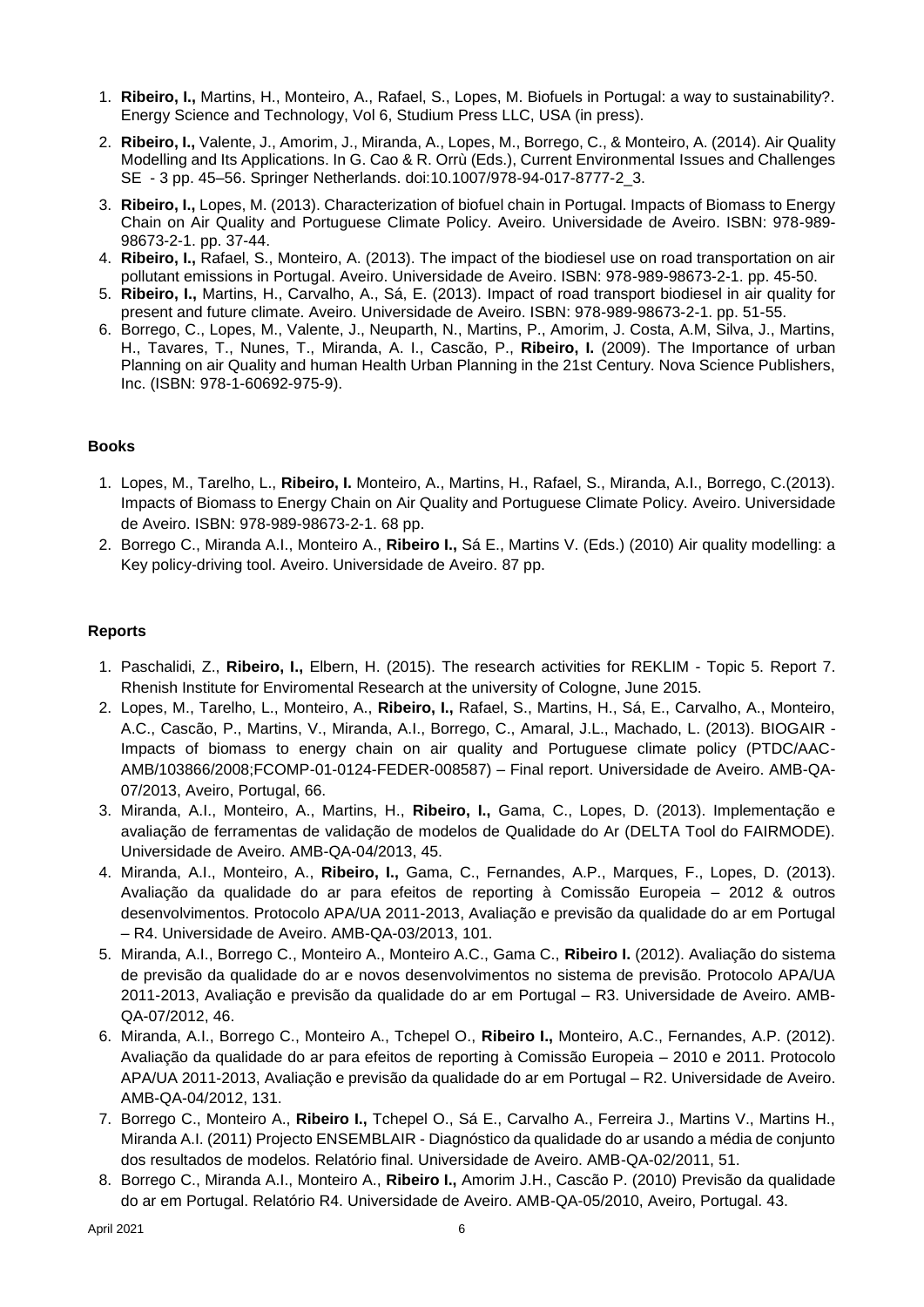- 1. **Ribeiro, I.,** Martins, H., Monteiro, A., Rafael, S., Lopes, M. Biofuels in Portugal: a way to sustainability?. Energy Science and Technology, Vol 6, Studium Press LLC, USA (in press).
- 2. **Ribeiro, I.,** Valente, J., Amorim, J., Miranda, A., Lopes, M., Borrego, C., & Monteiro, A. (2014). Air Quality Modelling and Its Applications. In G. Cao & R. Orrù (Eds.), Current Environmental Issues and Challenges SE - 3 pp. 45–56. Springer Netherlands. doi:10.1007/978-94-017-8777-2\_3.
- 3. **Ribeiro, I.,** Lopes, M. (2013). Characterization of biofuel chain in Portugal. Impacts of Biomass to Energy Chain on Air Quality and Portuguese Climate Policy. Aveiro. Universidade de Aveiro. ISBN: 978-989- 98673-2-1. pp. 37-44.
- 4. **Ribeiro, I.,** Rafael, S., Monteiro, A. (2013). The impact of the biodiesel use on road transportation on air pollutant emissions in Portugal. Aveiro. Universidade de Aveiro. ISBN: 978-989-98673-2-1. pp. 45-50.
- 5. **Ribeiro, I.,** Martins, H., Carvalho, A., Sá, E. (2013). Impact of road transport biodiesel in air quality for present and future climate. Aveiro. Universidade de Aveiro. ISBN: 978-989-98673-2-1. pp. 51-55.
- 6. Borrego, C., Lopes, M., Valente, J., Neuparth, N., Martins, P., Amorim, J. Costa, A.M, Silva, J., Martins, H., Tavares, T., Nunes, T., Miranda, A. I., Cascão, P., **Ribeiro, I.** (2009). The Importance of urban Planning on air Quality and human Health Urban Planning in the 21st Century. Nova Science Publishers, Inc. (ISBN: 978-1-60692-975-9).

# **Books**

- 1. Lopes, M., Tarelho, L., **Ribeiro, I.** Monteiro, A., Martins, H., Rafael, S., Miranda, A.I., Borrego, C.(2013). Impacts of Biomass to Energy Chain on Air Quality and Portuguese Climate Policy. Aveiro. Universidade de Aveiro. ISBN: 978-989-98673-2-1. 68 pp.
- 2. Borrego C., Miranda A.I., Monteiro A., **Ribeiro I.,** Sá E., Martins V. (Eds.) (2010) Air quality modelling: a Key policy-driving tool. Aveiro. Universidade de Aveiro. 87 pp.

# **Reports**

- 1. Paschalidi, Z., **Ribeiro, I.,** Elbern, H. (2015). The research activities for REKLIM Topic 5. Report 7. Rhenish Institute for Enviromental Research at the university of Cologne, June 2015.
- 2. Lopes, M., Tarelho, L., Monteiro, A., **Ribeiro, I.,** Rafael, S., Martins, H., Sá, E., Carvalho, A., Monteiro, A.C., Cascão, P., Martins, V., Miranda, A.I., Borrego, C., Amaral, J.L., Machado, L. (2013). BIOGAIR - Impacts of biomass to energy chain on air quality and Portuguese climate policy (PTDC/AAC-AMB/103866/2008;FCOMP-01-0124-FEDER-008587) – Final report. Universidade de Aveiro. AMB-QA-07/2013, Aveiro, Portugal, 66.
- 3. Miranda, A.I., Monteiro, A., Martins, H., **Ribeiro, I.,** Gama, C., Lopes, D. (2013). Implementação e avaliação de ferramentas de validação de modelos de Qualidade do Ar (DELTA Tool do FAIRMODE). Universidade de Aveiro. AMB-QA-04/2013, 45.
- 4. Miranda, A.I., Monteiro, A., **Ribeiro, I.,** Gama, C., Fernandes, A.P., Marques, F., Lopes, D. (2013). Avaliação da qualidade do ar para efeitos de reporting à Comissão Europeia – 2012 & outros desenvolvimentos. Protocolo APA/UA 2011-2013, Avaliação e previsão da qualidade do ar em Portugal – R4. Universidade de Aveiro. AMB-QA-03/2013, 101.
- 5. Miranda, A.I., Borrego C., Monteiro A., Monteiro A.C., Gama C., **Ribeiro I.** (2012). Avaliação do sistema de previsão da qualidade do ar e novos desenvolvimentos no sistema de previsão. Protocolo APA/UA 2011-2013, Avaliação e previsão da qualidade do ar em Portugal – R3. Universidade de Aveiro. AMB-QA-07/2012, 46.
- 6. Miranda, A.I., Borrego C., Monteiro A., Tchepel O., **Ribeiro I.,** Monteiro, A.C., Fernandes, A.P. (2012). Avaliação da qualidade do ar para efeitos de reporting à Comissão Europeia – 2010 e 2011. Protocolo APA/UA 2011-2013, Avaliação e previsão da qualidade do ar em Portugal – R2. Universidade de Aveiro. AMB-QA-04/2012, 131.
- 7. Borrego C., Monteiro A., **Ribeiro I.,** Tchepel O., Sá E., Carvalho A., Ferreira J., Martins V., Martins H., Miranda A.I. (2011) Projecto ENSEMBLAIR - Diagnóstico da qualidade do ar usando a média de conjunto dos resultados de modelos. Relatório final. Universidade de Aveiro. AMB-QA-02/2011, 51.
- 8. Borrego C., Miranda A.I., Monteiro A., **Ribeiro I.,** Amorim J.H., Cascão P. (2010) Previsão da qualidade do ar em Portugal. Relatório R4. Universidade de Aveiro. AMB-QA-05/2010, Aveiro, Portugal. 43.